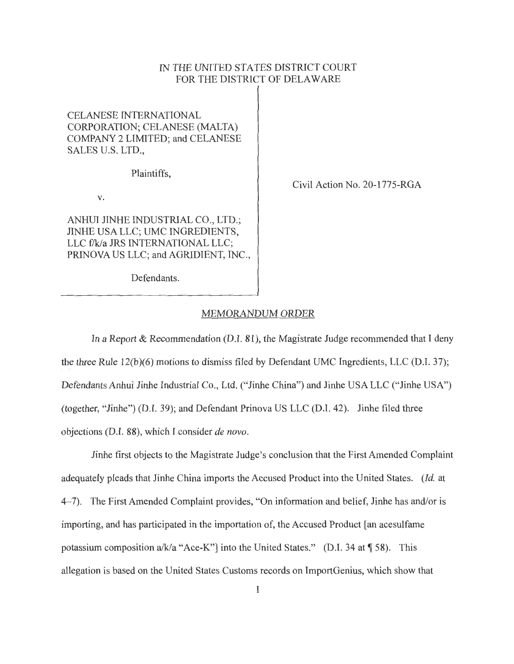## IN THE UNITED STATES DISTRICT COURT FOR THE DISTRICT OF DELAWARE

## CELANESE INTERNATIONAL CORPORATION; CELANESE (MALTA) COMPANY 2 LIMITED; and CELANESE SALES U.S. LTD.,

Plaintiffs,

V.

ANHUI JINHE INDUSTRIAL CO., LTD.; JINHE USA LLC; UMC INGREDIENTS, LLC f/k/a JRS INTERNATIONAL LLC; PRINOVA US LLC; and AGRIDIENT, INC., Civil Action No. 20-1775-RGA

Defendants.

## MEMORANDUM ORDER

In a Report  $\&$  Recommendation (D.I. 81), the Magistrate Judge recommended that I deny the three Rule 12(b)(6) motions to dismiss filed by Defendant UMC Ingredients, LLC (D.I. 37); Defendants Anhui Jinhe Industrial Co., Ltd. ("Jinhe China") and Jinhe USA LLC ("Jinhe USA") (together, "Jinhe") (D.I. 39); and Defendant Prinova US LLC (D.I. 42). Jinhe filed three objections (D.I. 88), which I consider *de novo.* 

Jinhe first objects to the Magistrate Judge's conclusion that the First Amended Complaint adequately pleads that Jinhe China imports the Accused Product into the United States. *(Id.* at 4-7). The First Amended Complaint provides, "On information and belief, Jinhe has and/or is importing, and has participated in the importation of, the Accused Product [an acesulfarne potassium composition a/k/a "Ace-K"] into the United States." (D.I. 34 at  $\sqrt{58}$ ). This allegation is based on the United States Customs records on ImportGenius, which show that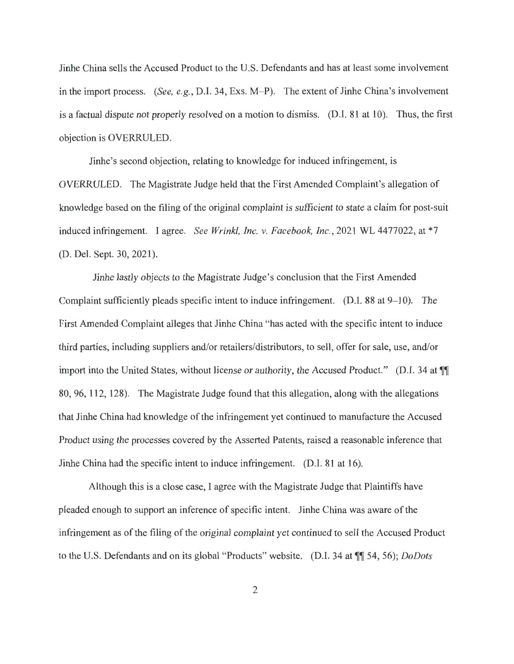Jinhe China sells the Accused Product to the U.S. Defendants and has at least some involvement in the import process. *(See, e.g., D.I. 34, Exs. M–P).* The extent of Jinhe China's involvement is a factual dispute not properly resolved on a motion to dismiss. (D.I. 81 at 10). Thus, the first objection is OVERRULED.

Jinhe's second objection, relating to knowledge for induced infringement, is OVERRULED. The Magistrate Judge held that the First Amended Complaint's allegation of knowledge based on the filing of the original complaint is sufficient to state a claim for post-suit induced infringement. I agree. *See Wrinkl, Inc. v. Facebook, Inc.*, 2021 WL 4477022, at \*7 (D. Del. Sept. 30, 2021).

Jinhe lastly objects to the Magistrate Judge's conclusion that the First Amended Complaint sufficiently pleads specific intent to induce infringement.  $(D.I. 88$  at  $9-10$ ). The First Amended Complaint alleges that Jinhe China "has acted with the specific intent to induce third parties, including suppliers and/or retailers/distributors, to sell, offer for sale, use, and/or import into the United States, without license or authority, the Accused Product." (D.I. 34 at  $\P$ 80, 96, 112, 128). The Magistrate Judge found that this allegation, along with the allegations that Jinhe China had knowledge of the infringement yet continued to manufacture the Accused Product using the processes covered by the Asserted Patents, raised a reasonable inference that Jinhe China had the specific intent to induce infringement. (D.I. 81 at 16).

Although this is a close case, I agree with the Magistrate Judge that Plaintiffs have pleaded enough to support an inference of specific intent. Jinhe China was aware of the infringement as of the filing of the original complaint yet continued to sell the Accused Product to the U.S. Defendants and on its global "Products" website. (D.I. 34 at  $\mathbb{I}$  54, 56); *DoDots*